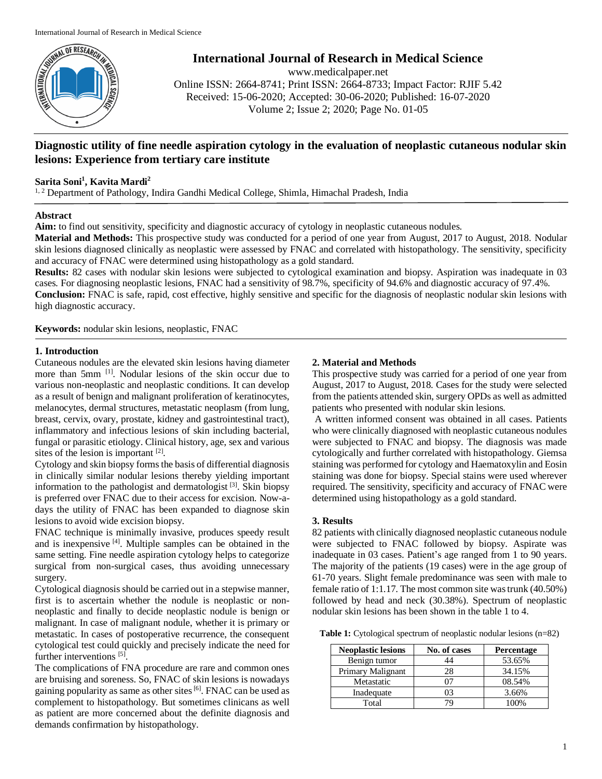

**International Journal of Research in Medical Science**

www.medicalpaper.net Online ISSN: 2664-8741; Print ISSN: 2664-8733; Impact Factor: RJIF 5.42 Received: 15-06-2020; Accepted: 30-06-2020; Published: 16-07-2020 Volume 2; Issue 2; 2020; Page No. 01-05

# **Diagnostic utility of fine needle aspiration cytology in the evaluation of neoplastic cutaneous nodular skin lesions: Experience from tertiary care institute**

# **Sarita Soni<sup>1</sup> , Kavita Mardi<sup>2</sup>**

<sup>1, 2</sup> Department of Pathology, Indira Gandhi Medical College, Shimla, Himachal Pradesh, India

### **Abstract**

**Aim:** to find out sensitivity, specificity and diagnostic accuracy of cytology in neoplastic cutaneous nodules.

**Material and Methods:** This prospective study was conducted for a period of one year from August, 2017 to August, 2018. Nodular skin lesions diagnosed clinically as neoplastic were assessed by FNAC and correlated with histopathology. The sensitivity, specificity and accuracy of FNAC were determined using histopathology as a gold standard.

**Results:** 82 cases with nodular skin lesions were subjected to cytological examination and biopsy. Aspiration was inadequate in 03 cases. For diagnosing neoplastic lesions, FNAC had a sensitivity of 98.7%, specificity of 94.6% and diagnostic accuracy of 97.4%.

**Conclusion:** FNAC is safe, rapid, cost effective, highly sensitive and specific for the diagnosis of neoplastic nodular skin lesions with high diagnostic accuracy.

**Keywords:** nodular skin lesions, neoplastic, FNAC

### **1. Introduction**

Cutaneous nodules are the elevated skin lesions having diameter more than 5mm [1]. Nodular lesions of the skin occur due to various non-neoplastic and neoplastic conditions. It can develop as a result of benign and malignant proliferation of keratinocytes, melanocytes, dermal structures, metastatic neoplasm (from lung, breast, cervix, ovary, prostate, kidney and gastrointestinal tract), inflammatory and infectious lesions of skin including bacterial, fungal or parasitic etiology. Clinical history, age, sex and various sites of the lesion is important  $[2]$ .

Cytology and skin biopsy forms the basis of differential diagnosis in clinically similar nodular lesions thereby yielding important information to the pathologist and dermatologist [3] . Skin biopsy is preferred over FNAC due to their access for excision. Now-adays the utility of FNAC has been expanded to diagnose skin lesions to avoid wide excision biopsy.

FNAC technique is minimally invasive, produces speedy result and is inexpensive [4]. Multiple samples can be obtained in the same setting. Fine needle aspiration cytology helps to categorize surgical from non-surgical cases, thus avoiding unnecessary surgery.

Cytological diagnosis should be carried out in a stepwise manner, first is to ascertain whether the nodule is neoplastic or nonneoplastic and finally to decide neoplastic nodule is benign or malignant. In case of malignant nodule, whether it is primary or metastatic. In cases of postoperative recurrence, the consequent cytological test could quickly and precisely indicate the need for further interventions<sup>[5]</sup>.

The complications of FNA procedure are rare and common ones are bruising and soreness. So, FNAC of skin lesions is nowadays gaining popularity as same as other sites<sup>[6]</sup>. FNAC can be used as complement to histopathology. But sometimes clinicans as well as patient are more concerned about the definite diagnosis and demands confirmation by histopathology.

# **2. Material and Methods**

This prospective study was carried for a period of one year from August, 2017 to August, 2018. Cases for the study were selected from the patients attended skin, surgery OPDs as well as admitted patients who presented with nodular skin lesions.

A written informed consent was obtained in all cases. Patients who were clinically diagnosed with neoplastic cutaneous nodules were subjected to FNAC and biopsy. The diagnosis was made cytologically and further correlated with histopathology. Giemsa staining was performed for cytology and Haematoxylin and Eosin staining was done for biopsy. Special stains were used wherever required. The sensitivity, specificity and accuracy of FNAC were determined using histopathology as a gold standard.

# **3. Results**

82 patients with clinically diagnosed neoplastic cutaneous nodule were subjected to FNAC followed by biopsy. Aspirate was inadequate in 03 cases. Patient's age ranged from 1 to 90 years. The majority of the patients (19 cases) were in the age group of 61-70 years. Slight female predominance was seen with male to female ratio of 1:1.17. The most common site was trunk (40.50%) followed by head and neck (30.38%). Spectrum of neoplastic nodular skin lesions has been shown in the table 1 to 4.

**Table 1:** Cytological spectrum of neoplastic nodular lesions (n=82)

| <b>Neoplastic lesions</b> | No. of cases | <b>Percentage</b> |
|---------------------------|--------------|-------------------|
| Benign tumor              | 44           | 53.65%            |
| Primary Malignant         |              | 34.15%            |
| Metastatic                |              | 08.54%            |
| Inadequate                | D٤           | 3.66%             |
| Total                     |              | $00\%$            |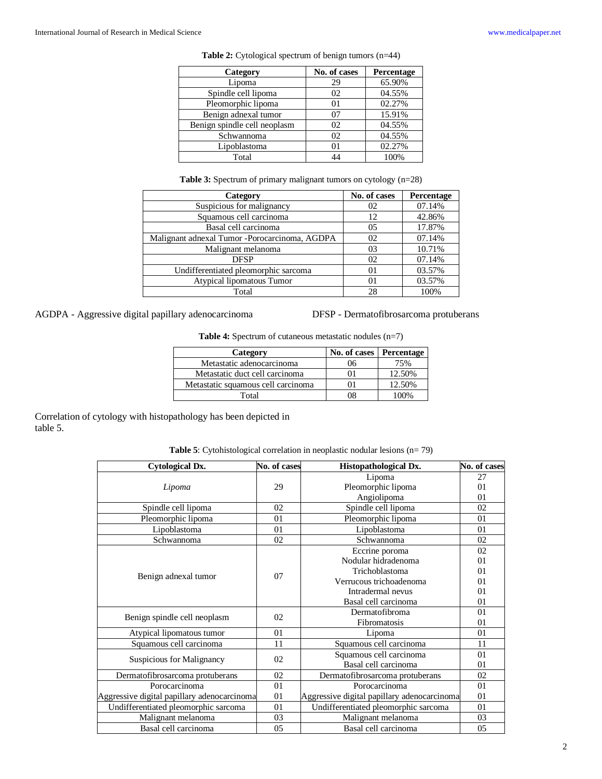| Category                     | No. of cases   | Percentage |
|------------------------------|----------------|------------|
| Lipoma                       | 29             | 65.90%     |
| Spindle cell lipoma          | 02             | 04.55%     |
| Pleomorphic lipoma           | 01             | 02.27%     |
| Benign adnexal tumor         | 07             | 15.91%     |
| Benign spindle cell neoplasm | 02             | 04.55%     |
| Schwannoma                   | 02             | 04.55%     |
| Lipoblastoma                 | 0 <sub>1</sub> | 02.27%     |
| Total                        | 44             | 100%       |

Table 2: Cytological spectrum of benign tumors (n=44)

**Table 3:** Spectrum of primary malignant tumors on cytology (n=28)

| Category                                       | No. of cases | Percentage |
|------------------------------------------------|--------------|------------|
| Suspicious for malignancy                      | 02           | 07.14%     |
| Squamous cell carcinoma                        | 12           | 42.86%     |
| Basal cell carcinoma                           | 05           | 17.87%     |
| Malignant adnexal Tumor - Porocarcinoma, AGDPA | 02           | 07.14%     |
| Malignant melanoma                             | 03           | 10.71%     |
| <b>DFSP</b>                                    | 02           | 07.14%     |
| Undifferentiated pleomorphic sarcoma           | 01           | 03.57%     |
| Atypical lipomatous Tumor                      | 01           | 03.57%     |
| Total                                          | 28           | 100%       |

AGDPA - Aggressive digital papillary adenocarcinoma DFSP - Dermatofibrosarcoma protuberans

**Table 4:** Spectrum of cutaneous metastatic nodules (n=7)

| Category                           | No. of cases   Percentage |        |  |
|------------------------------------|---------------------------|--------|--|
| Metastatic adenocarcinoma          | 06                        | 75%    |  |
| Metastatic duct cell carcinoma     |                           | 12.50% |  |
| Metastatic squamous cell carcinoma |                           | 12.50% |  |
| Total                              | 08                        | 100%   |  |

Correlation of cytology with histopathology has been depicted in table 5.

| <b>Table 5:</b> Cytohistological correlation in neoplastic nodular lesions $(n=79)$ |  |  |
|-------------------------------------------------------------------------------------|--|--|
|                                                                                     |  |  |

| <b>Cytological Dx.</b>                      | No. of cases | Histopathological Dx.                       | No. of cases |
|---------------------------------------------|--------------|---------------------------------------------|--------------|
|                                             |              | Lipoma                                      | 27           |
| Lipoma                                      | 29           | Pleomorphic lipoma                          | 01           |
|                                             |              | Angiolipoma                                 | 01           |
| Spindle cell lipoma                         | 02           | Spindle cell lipoma                         | 02           |
| Pleomorphic lipoma                          | 01           | Pleomorphic lipoma                          | 01           |
| Lipoblastoma                                | 01           | Lipoblastoma                                | 01           |
| Schwannoma                                  | 02           | Schwannoma                                  | 02           |
|                                             |              | Eccrine poroma                              | 02           |
|                                             |              | Nodular hidradenoma                         | 01           |
| Benign adnexal tumor                        | 07           | Trichoblastoma                              | 01           |
|                                             |              | Verrucous trichoadenoma                     | 01           |
|                                             |              | Intradermal nevus                           | 01           |
|                                             |              | Basal cell carcinoma                        | 01           |
|                                             | 02           | Dermatofibroma                              | 01           |
| Benign spindle cell neoplasm                |              | Fibromatosis                                | 01           |
| Atypical lipomatous tumor                   | 01           | Lipoma                                      | 01           |
| Squamous cell carcinoma                     | 11           | Squamous cell carcinoma                     | 11           |
| Suspicious for Malignancy                   | 02           | Squamous cell carcinoma                     | 01           |
|                                             |              | Basal cell carcinoma                        | 01           |
| Dermatofibrosarcoma protuberans             | 02           | Dermatofibrosarcoma protuberans             | 02           |
| Porocarcinoma                               | 01           | Porocarcinoma                               | 01           |
| Aggressive digital papillary adenocarcinoma | 01           | Aggressive digital papillary adenocarcinoma | 01           |
| Undifferentiated pleomorphic sarcoma        | 01           | Undifferentiated pleomorphic sarcoma        | 01           |
| Malignant melanoma                          | 03           | Malignant melanoma                          | 03           |
| Basal cell carcinoma                        | 05           | Basal cell carcinoma                        | 05           |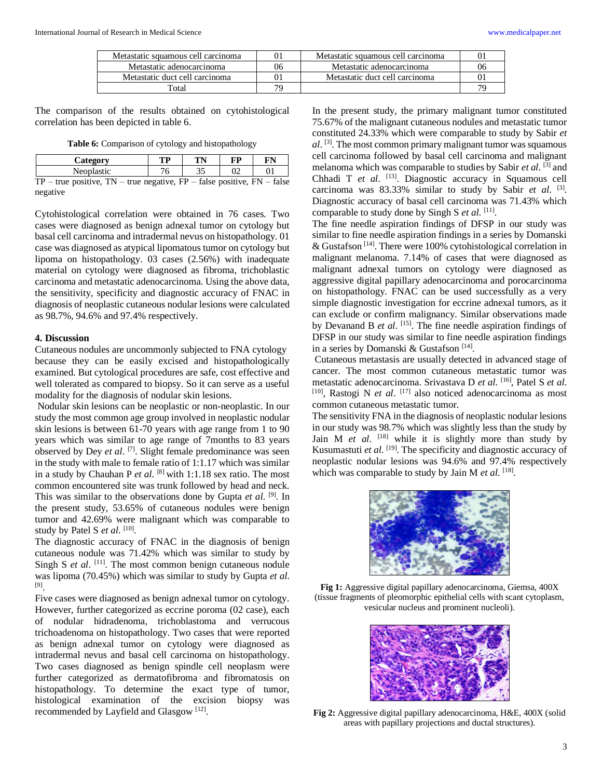| Metastatic squamous cell carcinoma | 01 | Metastatic squamous cell carcinoma |    |
|------------------------------------|----|------------------------------------|----|
| Metastatic adenocarcinoma          | 06 | Metastatic adenocarcinoma          | 06 |
| Metastatic duct cell carcinoma     | 01 | Metastatic duct cell carcinoma     |    |
| Total                              |    |                                    |    |

The comparison of the results obtained on cytohistological correlation has been depicted in table 6.

**Table 6:** Comparison of cytology and histopathology

| Category                                                                        | TP | TN | FP | FN |  |  |
|---------------------------------------------------------------------------------|----|----|----|----|--|--|
| Neoplastic                                                                      | 76 | 35 |    |    |  |  |
| $TP$ – true positive, $TN$ – true negative, $FP$ – false positive, $FN$ – false |    |    |    |    |  |  |
| negative                                                                        |    |    |    |    |  |  |

Cytohistological correlation were obtained in 76 cases. Two cases were diagnosed as benign adnexal tumor on cytology but basal cell carcinoma and intradermal nevus on histopathology. 01 case was diagnosed as atypical lipomatous tumor on cytology but lipoma on histopathology. 03 cases (2.56%) with inadequate material on cytology were diagnosed as fibroma, trichoblastic carcinoma and metastatic adenocarcinoma. Using the above data, the sensitivity, specificity and diagnostic accuracy of FNAC in diagnosis of neoplastic cutaneous nodular lesions were calculated as 98.7%, 94.6% and 97.4% respectively.

#### **4. Discussion**

Cutaneous nodules are uncommonly subjected to FNA cytology because they can be easily excised and histopathologically examined. But cytological procedures are safe, cost effective and well tolerated as compared to biopsy. So it can serve as a useful modality for the diagnosis of nodular skin lesions.

Nodular skin lesions can be neoplastic or non-neoplastic. In our study the most common age group involved in neoplastic nodular skin lesions is between 61-70 years with age range from 1 to 90 years which was similar to age range of 7months to 83 years observed by Dey *et al.* <sup>[7]</sup>. Slight female predominance was seen in the study with male to female ratio of 1:1.17 which was similar in a study by Chauhan P *et al*. [8] with 1:1.18 sex ratio. The most common encountered site was trunk followed by head and neck. This was similar to the observations done by Gupta *et al*. [9] . In the present study, 53.65% of cutaneous nodules were benign tumor and 42.69% were malignant which was comparable to study by Patel S et al. [10].

The diagnostic accuracy of FNAC in the diagnosis of benign cutaneous nodule was 71.42% which was similar to study by Singh S *et al.* <sup>[11]</sup>. The most common benign cutaneous nodule was lipoma (70.45%) which was similar to study by Gupta *et al*. [9] .

Five cases were diagnosed as benign adnexal tumor on cytology. However, further categorized as eccrine poroma (02 case), each of nodular hidradenoma, trichoblastoma and verrucous trichoadenoma on histopathology. Two cases that were reported as benign adnexal tumor on cytology were diagnosed as intradermal nevus and basal cell carcinoma on histopathology. Two cases diagnosed as benign spindle cell neoplasm were further categorized as dermatofibroma and fibromatosis on histopathology. To determine the exact type of tumor, histological examination of the excision biopsy was recommended by Layfield and Glasgow<sup>[12]</sup>.

In the present study, the primary malignant tumor constituted 75.67% of the malignant cutaneous nodules and metastatic tumor constituted 24.33% which were comparable to study by Sabir *et al*. [3]. The most common primary malignant tumor was squamous cell carcinoma followed by basal cell carcinoma and malignant melanoma which was comparable to studies by Sabir *et al*. [3] and Chhadi T et al. <sup>[13]</sup>. Diagnostic accuracy in Squamous cell carcinoma was 83.33% similar to study by Sabir *et al.* <sup>[3]</sup>. Diagnostic accuracy of basal cell carcinoma was 71.43% which comparable to study done by Singh S et al. [11].

The fine needle aspiration findings of DFSP in our study was similar to fine needle aspiration findings in a series by Domanski & Gustafson<sup>[14]</sup>. There were 100% cytohistological correlation in malignant melanoma. 7.14% of cases that were diagnosed as malignant adnexal tumors on cytology were diagnosed as aggressive digital papillary adenocarcinoma and porocarcinoma on histopathology. FNAC can be used successfully as a very simple diagnostic investigation for eccrine adnexal tumors, as it can exclude or confirm malignancy. Similar observations made by Devanand B *et al.* <sup>[15]</sup>. The fine needle aspiration findings of DFSP in our study was similar to fine needle aspiration findings in a series by Domanski & Gustafson<sup>[14]</sup>.

Cutaneous metastasis are usually detected in advanced stage of cancer. The most common cutaneous metastatic tumor was metastatic adenocarcinoma. Srivastava D *et al*. [16], Patel S *et al*. [10], Rastogi N *et al*. [17] also noticed adenocarcinoma as most common cutaneous metastatic tumor.

The sensitivity FNA in the diagnosis of neoplastic nodular lesions in our study was 98.7% which was slightly less than the study by Jain M *et al.* <sup>[18]</sup> while it is slightly more than study by Kusumastuti *et al*. [19]. The specificity and diagnostic accuracy of neoplastic nodular lesions was 94.6% and 97.4% respectively which was comparable to study by Jain M *et al.* [18].



**Fig 1:** Aggressive digital papillary adenocarcinoma, Giemsa, 400X (tissue fragments of pleomorphic epithelial cells with scant cytoplasm, vesicular nucleus and prominent nucleoli).



**Fig 2:** Aggressive digital papillary adenocarcinoma, H&E, 400X (solid areas with papillary projections and ductal structures).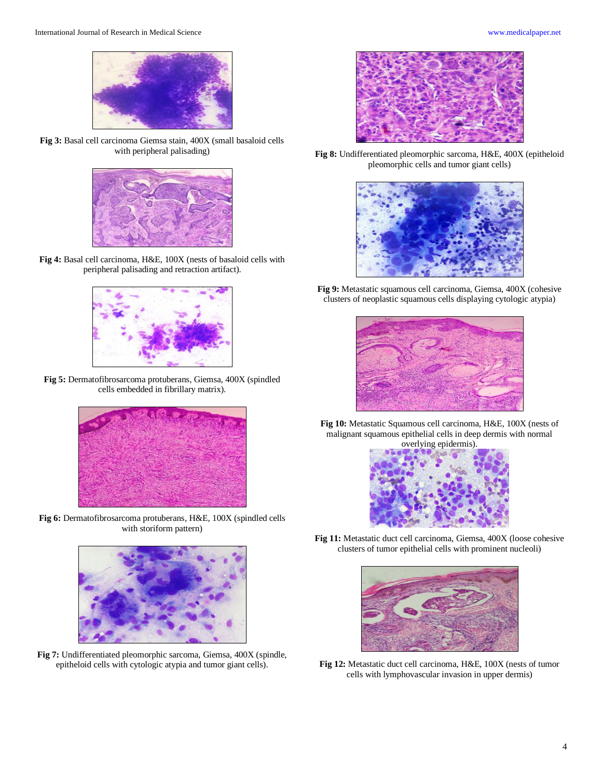**Fig 3:** Basal cell carcinoma Giemsa stain, 400X (small basaloid cells with peripheral palisading)



**Fig 4:** Basal cell carcinoma, H&E, 100X (nests of basaloid cells with peripheral palisading and retraction artifact).



**Fig 5:** Dermatofibrosarcoma protuberans, Giemsa, 400X (spindled cells embedded in fibrillary matrix).



**Fig 6:** Dermatofibrosarcoma protuberans, H&E, 100X (spindled cells with storiform pattern)



**Fig 7:** Undifferentiated pleomorphic sarcoma, Giemsa, 400X (spindle, epitheloid cells with cytologic atypia and tumor giant cells).



**Fig 8:** Undifferentiated pleomorphic sarcoma, H&E, 400X (epitheloid pleomorphic cells and tumor giant cells)



**Fig 9:** Metastatic squamous cell carcinoma, Giemsa, 400X (cohesive clusters of neoplastic squamous cells displaying cytologic atypia)



**Fig 10:** Metastatic Squamous cell carcinoma, H&E, 100X (nests of malignant squamous epithelial cells in deep dermis with normal



**Fig 11:** Metastatic duct cell carcinoma, Giemsa, 400X (loose cohesive clusters of tumor epithelial cells with prominent nucleoli)



**Fig 12:** Metastatic duct cell carcinoma, H&E, 100X (nests of tumor cells with lymphovascular invasion in upper dermis)